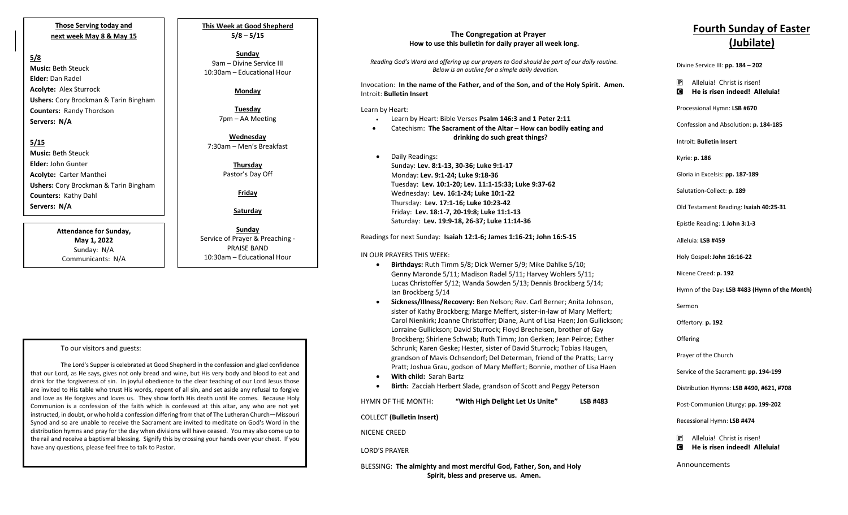**Those Serving today and next week May 8 & May 15**

#### **5/8**

**Music:** Beth Steuck **Elder:** Dan Radel **Acolyte:** Alex Sturrock **Ushers:** Cory Brockman & Tarin Bingham **Counters:** Randy Thordson **Servers: N/A**

## **5/15**

**Music:** Beth Steuck **Elder:** John Gunter **Acolyte:** Carter Manthei **Ushers:** Cory Brockman & Tarin Bingham **Counters:** Kathy Dahl **Servers: N/A**

> **Attendance for Sunday, May 1, 2022** Sunday: N/A Communicants: N/A

**This Week at Good Shepherd 5/8 – 5/15**

#### **Sunday**  9am – Divine Service III 10:30am – Educational Hour

# **Monday**

**Tuesday** 7pm – AA Meeting

**Wednesday** 7:30am – Men's Breakfast

> **Thursday** Pastor's Day Off

> > **Friday**

**Saturday**

**Sunday**  Service of Prayer & Preaching - PRAISE BAND 10:30am – Educational Hour

#### To our visitors and guests:

The Lord's Supper is celebrated at Good Shepherd in the confession and glad confidence that our Lord, as He says, gives not only bread and wine, but His very body and blood to eat and drink for the forgiveness of sin. In joyful obedience to the clear teaching of our Lord Jesus those are invited to His table who trust His words, repent of all sin, and set aside any refusal to forgive and love as He forgives and loves us. They show forth His death until He comes. Because Holy Communion is a confession of the faith which is confessed at this altar, any who are not yet instructed, in doubt, or who hold a confession differing from that of The Lutheran Church—Missouri Synod and so are unable to receive the Sacrament are invited to meditate on God's Word in the distribution hymns and pray for the day when divisions will have ceased. You may also come up to the rail and receive a baptismal blessing. Signify this by crossing your hands over your chest. If you have any questions, please feel free to talk to Pastor.

## **The Congregation at Prayer How to use this bulletin for daily prayer all week long.**

*Reading God's Word and offering up our prayers to God should be part of our daily routine. Below is an outline for a simple daily devotion.*

Invocation: **In the name of the Father, and of the Son, and of the Holy Spirit. Amen.** Introit: **Bulletin Insert**

Learn by Heart:

- Learn by Heart: Bible Verses **Psalm 146:3 and 1 Peter 2:11**
- Catechism: **The Sacrament of the Altar How can bodily eating and drinking do such great things?**
- Daily Readings: Sunday: **Lev. 8:1-13, 30-36; Luke 9:1-17** Monday: **Lev. 9:1-24; Luke 9:18-36** Tuesday: **Lev. 10:1-20; Lev. 11:1-15:33; Luke 9:37-62** Wednesday: **Lev. 16:1-24; Luke 10:1-22** Thursday: **Lev. 17:1-16; Luke 10:23-42** Friday: **Lev. 18:1-7, 20-19:8; Luke 11:1-13** Saturday: **Lev. 19:9-18, 26-37; Luke 11:14-36**

Readings for next Sunday: **Isaiah 12:1-6; James 1:16-21; John 16:5-15**

#### IN OUR PRAYERS THIS WEEK:

- **Birthdays:** Ruth Timm 5/8; Dick Werner 5/9; Mike Dahlke 5/10; Genny Maronde 5/11; Madison Radel 5/11; Harvey Wohlers 5/11; Lucas Christoffer 5/12; Wanda Sowden 5/13; Dennis Brockberg 5/14; Ian Brockberg 5/14
- **Sickness/Illness/Recovery:** Ben Nelson; Rev. Carl Berner; Anita Johnson, sister of Kathy Brockberg; Marge Meffert, sister-in-law of Mary Meffert; Carol Nienkirk; Joanne Christoffer; Diane, Aunt of Lisa Haen; Jon Gullickson; Lorraine Gullickson; David Sturrock; Floyd Brecheisen, brother of Gay Brockberg; Shirlene Schwab; Ruth Timm; Jon Gerken; Jean Peirce; Esther Schrunk; Karen Geske; Hester, sister of David Sturrock; Tobias Haugen, grandson of Mavis Ochsendorf; Del Determan, friend of the Pratts; Larry Pratt; Joshua Grau, godson of Mary Meffert; Bonnie, mother of Lisa Haen
- **With child:** Sarah Bartz

• **Birth:** Zacciah Herbert Slade, grandson of Scott and Peggy Peterson

HYMN OF THE MONTH: **"With High Delight Let Us Unite" LSB #483**

COLLECT **(Bulletin Insert)**

NICENE CREED

LORD'S PRAYER

BLESSING: **The almighty and most merciful God, Father, Son, and Holy Spirit, bless and preserve us. Amen.**

# **Fourth Sunday of Easter (Jubilate)**

Divine Service III: **pp. 184 – 202**

P Alleluia! Christ is risen! C **He is risen indeed! Alleluia!**

Processional Hymn: **LSB #670**

Confession and Absolution: **p. 184-185**

Introit: **Bulletin Insert** 

Kyrie: **p. 186**

Gloria in Excelsis: **pp. 187-189**

Salutation-Collect: **p. 189**

Old Testament Reading: **Isaiah 40:25-31**

Epistle Reading: **1 John 3:1-3**

Alleluia: **LSB #459**

Holy Gospel: **John 16:16-22**

Nicene Creed: **p. 192**

Hymn of the Day: **LSB #483 (Hymn of the Month)**

Sermon

Offertory: **p. 192**

**Offering** 

Prayer of the Church

Service of the Sacrament: **pp. 194-199**

Distribution Hymns: **LSB #490, #621, #708**

Post-Communion Liturgy: **pp. 199-202** 

Recessional Hymn: **LSB #474**

P Alleluia! Christ is risen!

C **He is risen indeed! Alleluia!**

Announcements